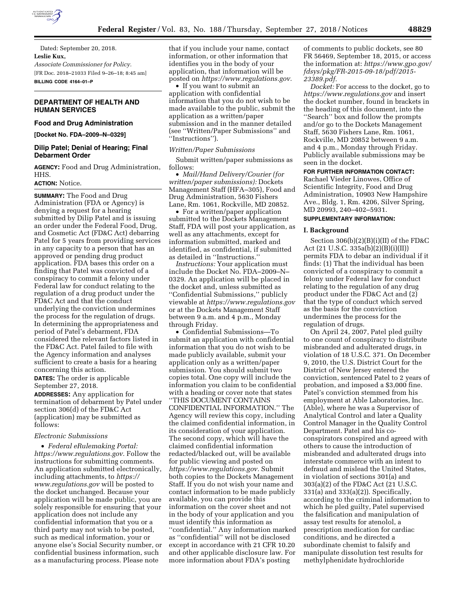

Dated: September 20, 2018. **Leslie Kux,**  *Associate Commissioner for Policy.*  [FR Doc. 2018–21033 Filed 9–26–18; 8:45 am] **BILLING CODE 4164–01–P** 

# **DEPARTMENT OF HEALTH AND HUMAN SERVICES**

# **Food and Drug Administration**

**[Docket No. FDA–2009–N–0329]** 

# **Dilip Patel; Denial of Hearing; Final Debarment Order**

**AGENCY:** Food and Drug Administration, HHS.

## **ACTION:** Notice.

**SUMMARY:** The Food and Drug Administration (FDA or Agency) is denying a request for a hearing submitted by Dilip Patel and is issuing an order under the Federal Food, Drug, and Cosmetic Act (FD&C Act) debarring Patel for 5 years from providing services in any capacity to a person that has an approved or pending drug product application. FDA bases this order on a finding that Patel was convicted of a conspiracy to commit a felony under Federal law for conduct relating to the regulation of a drug product under the FD&C Act and that the conduct underlying the conviction undermines the process for the regulation of drugs. In determining the appropriateness and period of Patel's debarment, FDA considered the relevant factors listed in the FD&C Act. Patel failed to file with the Agency information and analyses sufficient to create a basis for a hearing concerning this action.

**DATES:** The order is applicable September 27, 2018.

**ADDRESSES:** Any application for termination of debarment by Patel under section 306(d) of the FD&C Act (application) may be submitted as follows:

## *Electronic Submissions*

• *Federal eRulemaking Portal: [https://www.regulations.gov.](https://www.regulations.gov)* Follow the instructions for submitting comments. An application submitted electronically, including attachments, to *[https://](https://www.regulations.gov) [www.regulations.gov](https://www.regulations.gov)* will be posted to the docket unchanged. Because your application will be made public, you are solely responsible for ensuring that your application does not include any confidential information that you or a third party may not wish to be posted, such as medical information, your or anyone else's Social Security number, or confidential business information, such as a manufacturing process. Please note

that if you include your name, contact information, or other information that identifies you in the body of your application, that information will be posted on *[https://www.regulations.gov.](https://www.regulations.gov)* 

• If you want to submit an application with confidential information that you do not wish to be made available to the public, submit the application as a written/paper submission and in the manner detailed (see ''Written/Paper Submissions'' and ''Instructions'').

## *Written/Paper Submissions*

Submit written/paper submissions as follows:

• *Mail/Hand Delivery/Courier (for written/paper submissions):* Dockets Management Staff (HFA–305), Food and Drug Administration, 5630 Fishers Lane, Rm. 1061, Rockville, MD 20852.

• For a written/paper application submitted to the Dockets Management Staff, FDA will post your application, as well as any attachments, except for information submitted, marked and identified, as confidential, if submitted as detailed in ''Instructions.''

*Instructions:* Your application must include the Docket No. FDA–2009–N– 0329. An application will be placed in the docket and, unless submitted as ''Confidential Submissions,'' publicly viewable at *<https://www.regulations.gov>* or at the Dockets Management Staff between 9 a.m. and 4 p.m., Monday through Friday.

• Confidential Submissions—To submit an application with confidential information that you do not wish to be made publicly available, submit your application only as a written/paper submission. You should submit two copies total. One copy will include the information you claim to be confidential with a heading or cover note that states ''THIS DOCUMENT CONTAINS CONFIDENTIAL INFORMATION.'' The Agency will review this copy, including the claimed confidential information, in its consideration of your application. The second copy, which will have the claimed confidential information redacted/blacked out, will be available for public viewing and posted on *[https://www.regulations.gov.](https://www.regulations.gov)* Submit both copies to the Dockets Management Staff. If you do not wish your name and contact information to be made publicly available, you can provide this information on the cover sheet and not in the body of your application and you must identify this information as ''confidential.'' Any information marked as ''confidential'' will not be disclosed except in accordance with 21 CFR 10.20 and other applicable disclosure law. For more information about FDA's posting

of comments to public dockets, see 80 FR 56469, September 18, 2015, or access the information at: *[https://www.gpo.gov/](https://www.gpo.gov/fdsys/pkg/FR-2015-09-18/pdf/2015-23389.pdf) [fdsys/pkg/FR-2015-09-18/pdf/2015-](https://www.gpo.gov/fdsys/pkg/FR-2015-09-18/pdf/2015-23389.pdf)  [23389.pdf.](https://www.gpo.gov/fdsys/pkg/FR-2015-09-18/pdf/2015-23389.pdf)* 

*Docket:* For access to the docket, go to *<https://www.regulations.gov>* and insert the docket number, found in brackets in the heading of this document, into the ''Search'' box and follow the prompts and/or go to the Dockets Management Staff, 5630 Fishers Lane, Rm. 1061, Rockville, MD 20852 between 9 a.m. and 4 p.m., Monday through Friday. Publicly available submissions may be seen in the docket.

# **FOR FURTHER INFORMATION CONTACT:**

Rachael Vieder Linowes, Office of Scientific Integrity, Food and Drug Administration, 10903 New Hampshire Ave., Bldg. 1, Rm. 4206, Silver Spring, MD 20993, 240–402–5931.

# **SUPPLEMENTARY INFORMATION:**

#### **I. Background**

Section 306(b)(2)(B)(i)(II) of the FD&C Act (21 U.S.C. 335a(b)(2)(B)(i)(II)) permits FDA to debar an individual if it finds: (1) That the individual has been convicted of a conspiracy to commit a felony under Federal law for conduct relating to the regulation of any drug product under the FD&C Act and (2) that the type of conduct which served as the basis for the conviction undermines the process for the regulation of drugs.

On April 24, 2007, Patel pled guilty to one count of conspiracy to distribute misbranded and adulterated drugs, in violation of 18 U.S.C. 371. On December 9, 2010, the U.S. District Court for the District of New Jersey entered the conviction, sentenced Patel to 2 years of probation, and imposed a \$3,000 fine. Patel's conviction stemmed from his employment at Able Laboratories, Inc. (Able), where he was a Supervisor of Analytical Control and later a Quality Control Manager in the Quality Control Department. Patel and his coconspirators conspired and agreed with others to cause the introduction of misbranded and adulterated drugs into interstate commerce with an intent to defraud and mislead the United States, in violation of sections 301(a) and 303(a)(2) of the FD&C Act (21 U.S.C. 331(a) and 333(a)(2)). Specifically, according to the criminal information to which he pled guilty, Patel supervised the falsification and manipulation of assay test results for atenolol, a prescription medication for cardiac conditions, and he directed a subordinate chemist to falsify and manipulate dissolution test results for methylphenidate hydrochloride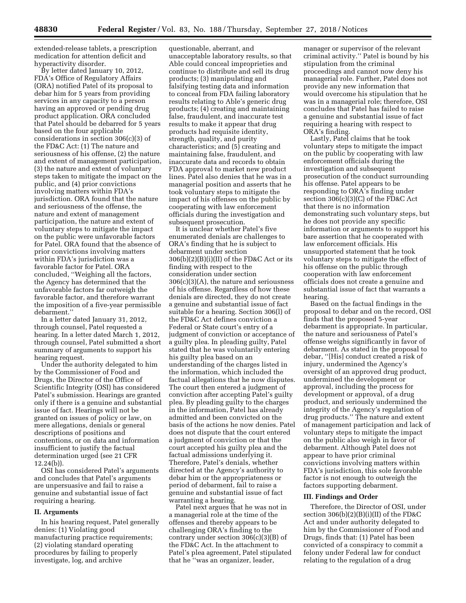extended-release tablets, a prescription medication for attention deficit and hyperactivity disorder.

By letter dated January 10, 2012, FDA's Office of Regulatory Affairs (ORA) notified Patel of its proposal to debar him for 5 years from providing services in any capacity to a person having an approved or pending drug product application. ORA concluded that Patel should be debarred for 5 years based on the four applicable considerations in section 306(c)(3) of the FD&C Act: (1) The nature and seriousness of his offense, (2) the nature and extent of management participation, (3) the nature and extent of voluntary steps taken to mitigate the impact on the public, and (4) prior convictions involving matters within FDA's jurisdiction. ORA found that the nature and seriousness of the offense, the nature and extent of management participation, the nature and extent of voluntary steps to mitigate the impact on the public were unfavorable factors for Patel. ORA found that the absence of prior convictions involving matters within FDA's jurisdiction was a favorable factor for Patel. ORA concluded, ''Weighing all the factors, the Agency has determined that the unfavorable factors far outweigh the favorable factor, and therefore warrant the imposition of a five-year permissible debarment.''

In a letter dated January 31, 2012, through counsel, Patel requested a hearing. In a letter dated March 1, 2012, through counsel, Patel submitted a short summary of arguments to support his hearing request.

Under the authority delegated to him by the Commissioner of Food and Drugs, the Director of the Office of Scientific Integrity (OSI) has considered Patel's submission. Hearings are granted only if there is a genuine and substantial issue of fact. Hearings will not be granted on issues of policy or law, on mere allegations, denials or general descriptions of positions and contentions, or on data and information insufficient to justify the factual determination urged (see 21 CFR 12.24(b)).

OSI has considered Patel's arguments and concludes that Patel's arguments are unpersuasive and fail to raise a genuine and substantial issue of fact requiring a hearing.

## **II. Arguments**

In his hearing request, Patel generally denies: (1) Violating good manufacturing practice requirements; (2) violating standard operating procedures by failing to properly investigate, log, and archive

questionable, aberrant, and unacceptable laboratory results, so that Able could conceal improprieties and continue to distribute and sell its drug products; (3) manipulating and falsifying testing data and information to conceal from FDA failing laboratory results relating to Able's generic drug products; (4) creating and maintaining false, fraudulent, and inaccurate test results to make it appear that drug products had requisite identity, strength, quality, and purity characteristics; and (5) creating and maintaining false, fraudulent, and inaccurate data and records to obtain FDA approval to market new product lines. Patel also denies that he was in a managerial position and asserts that he took voluntary steps to mitigate the impact of his offenses on the public by cooperating with law enforcement officials during the investigation and subsequent prosecution.

It is unclear whether Patel's five enumerated denials are challenges to ORA's finding that he is subject to debarment under section  $306(b)(2)(B)(i)(II)$  of the FD&C Act or its finding with respect to the consideration under section 306(c)(3)(A), the nature and seriousness of his offense. Regardless of how these denials are directed, they do not create a genuine and substantial issue of fact suitable for a hearing. Section 306(l) of the FD&C Act defines conviction a Federal or State court's entry of a judgment of conviction or acceptance of a guilty plea. In pleading guilty, Patel stated that he was voluntarily entering his guilty plea based on an understanding of the charges listed in the information, which included the factual allegations that he now disputes. The court then entered a judgment of conviction after accepting Patel's guilty plea. By pleading guilty to the charges in the information, Patel has already admitted and been convicted on the basis of the actions he now denies. Patel does not dispute that the court entered a judgment of conviction or that the court accepted his guilty plea and the factual admissions underlying it. Therefore, Patel's denials, whether directed at the Agency's authority to debar him or the appropriateness or period of debarment, fail to raise a genuine and substantial issue of fact warranting a hearing.

Patel next argues that he was not in a managerial role at the time of the offenses and thereby appears to be challenging ORA's finding to the contrary under section 306(c)(3)(B) of the FD&C Act. In the attachment to Patel's plea agreement, Patel stipulated that he ''was an organizer, leader,

manager or supervisor of the relevant criminal activity.'' Patel is bound by his stipulation from the criminal proceedings and cannot now deny his managerial role. Further, Patel does not provide any new information that would overcome his stipulation that he was in a managerial role; therefore, OSI concludes that Patel has failed to raise a genuine and substantial issue of fact requiring a hearing with respect to ORA's finding.

Lastly, Patel claims that he took voluntary steps to mitigate the impact on the public by cooperating with law enforcement officials during the investigation and subsequent prosecution of the conduct surrounding his offense. Patel appears to be responding to ORA's finding under section 306(c)(3)(C) of the FD&C Act that there is no information demonstrating such voluntary steps, but he does not provide any specific information or arguments to support his bare assertion that he cooperated with law enforcement officials. His unsupported statement that he took voluntary steps to mitigate the effect of his offense on the public through cooperation with law enforcement officials does not create a genuine and substantial issue of fact that warrants a hearing.

Based on the factual findings in the proposal to debar and on the record, OSI finds that the proposed 5-year debarment is appropriate. In particular, the nature and seriousness of Patel's offense weighs significantly in favor of debarment. As stated in the proposal to debar, ''[His] conduct created a risk of injury, undermined the Agency's oversight of an approved drug product, undermined the development or approval, including the process for development or approval, of a drug product, and seriously undermined the integrity of the Agency's regulation of drug products.'' The nature and extent of management participation and lack of voluntary steps to mitigate the impact on the public also weigh in favor of debarment. Although Patel does not appear to have prior criminal convictions involving matters within FDA's jurisdiction, this sole favorable factor is not enough to outweigh the factors supporting debarment.

#### **III. Findings and Order**

Therefore, the Director of OSI, under section  $306(b)(2)(B)(i)(II)$  of the FD&C Act and under authority delegated to him by the Commissioner of Food and Drugs, finds that: (1) Patel has been convicted of a conspiracy to commit a felony under Federal law for conduct relating to the regulation of a drug